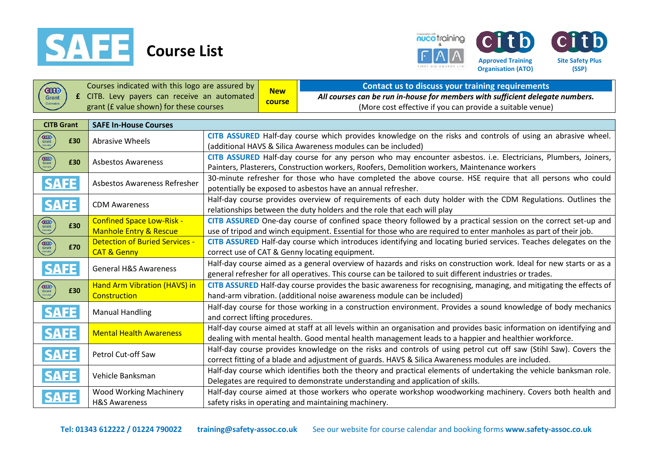





**Site Safety Plus (SSP)**

**Citb** 

|                             | Courses indicated with this logo are assured by           |                                                                                                                                                                                                                                  | <b>New</b> | <b>Contact us to discuss your training requirements</b>                                                                                                                                                                |
|-----------------------------|-----------------------------------------------------------|----------------------------------------------------------------------------------------------------------------------------------------------------------------------------------------------------------------------------------|------------|------------------------------------------------------------------------------------------------------------------------------------------------------------------------------------------------------------------------|
| <b>CILD</b><br>Grant        | £ CITB. Levy payers can receive an automated              |                                                                                                                                                                                                                                  | course     | All courses can be run in-house for members with sufficient delegate numbers.                                                                                                                                          |
| Claimable                   | grant (£ value shown) for these courses                   |                                                                                                                                                                                                                                  |            | (More cost effective if you can provide a suitable venue)                                                                                                                                                              |
|                             |                                                           |                                                                                                                                                                                                                                  |            |                                                                                                                                                                                                                        |
| <b>CITB Grant</b>           | <b>SAFE In-House Courses</b>                              |                                                                                                                                                                                                                                  |            |                                                                                                                                                                                                                        |
| <b>GIOD</b><br>£30          | <b>Abrasive Wheels</b>                                    | CITB ASSURED Half-day course which provides knowledge on the risks and controls of using an abrasive wheel.<br>(additional HAVS & Silica Awareness modules can be included)                                                      |            |                                                                                                                                                                                                                        |
| <b>GIOD</b><br>Grant<br>£30 | <b>Asbestos Awareness</b>                                 | CITB ASSURED Half-day course for any person who may encounter asbestos. i.e. Electricians, Plumbers, Joiners,<br>Painters, Plasterers, Construction workers, Roofers, Demolition workers, Maintenance workers                    |            |                                                                                                                                                                                                                        |
| <b>SAFE</b>                 | Asbestos Awareness Refresher                              |                                                                                                                                                                                                                                  |            | 30-minute refresher for those who have completed the above course. HSE require that all persons who could<br>potentially be exposed to asbestos have an annual refresher.                                              |
| <b>SAFE</b>                 | <b>CDM Awareness</b>                                      |                                                                                                                                                                                                                                  |            | Half-day course provides overview of requirements of each duty holder with the CDM Regulations. Outlines the<br>relationships between the duty holders and the role that each will play                                |
| <b>GIOD</b><br>Grant        | <b>Confined Space Low-Risk -</b>                          |                                                                                                                                                                                                                                  |            | CITB ASSURED One-day course of confined space theory followed by a practical session on the correct set-up and                                                                                                         |
| £30                         | <b>Manhole Entry &amp; Rescue</b>                         |                                                                                                                                                                                                                                  |            | use of tripod and winch equipment. Essential for those who are required to enter manholes as part of their job.                                                                                                        |
|                             | <b>Detection of Buried Services -</b>                     |                                                                                                                                                                                                                                  |            | CITB ASSURED Half-day course which introduces identifying and locating buried services. Teaches delegates on the                                                                                                       |
| GTOD<br>Grant<br>£70        | <b>CAT &amp; Genny</b>                                    |                                                                                                                                                                                                                                  |            | correct use of CAT & Genny locating equipment.                                                                                                                                                                         |
| <b>SAFE</b>                 | <b>General H&amp;S Awareness</b>                          | Half-day course aimed as a general overview of hazards and risks on construction work. Ideal for new starts or as a<br>general refresher for all operatives. This course can be tailored to suit different industries or trades. |            |                                                                                                                                                                                                                        |
| Grant<br>£30                | <b>Hand Arm Vibration (HAVS) in</b><br>Construction       |                                                                                                                                                                                                                                  |            | CITB ASSURED Half-day course provides the basic awareness for recognising, managing, and mitigating the effects of<br>hand-arm vibration. (additional noise awareness module can be included)                          |
| <b>SAFE</b>                 | <b>Manual Handling</b>                                    | Half-day course for those working in a construction environment. Provides a sound knowledge of body mechanics<br>and correct lifting procedures.                                                                                 |            |                                                                                                                                                                                                                        |
| <b>SAFE</b>                 | <b>Mental Health Awareness</b>                            | Half-day course aimed at staff at all levels within an organisation and provides basic information on identifying and<br>dealing with mental health. Good mental health management leads to a happier and healthier workforce.   |            |                                                                                                                                                                                                                        |
| <b>SAFE</b>                 | Petrol Cut-off Saw                                        |                                                                                                                                                                                                                                  |            | Half-day course provides knowledge on the risks and controls of using petrol cut off saw (Stihl Saw). Covers the<br>correct fitting of a blade and adjustment of guards. HAVS & Silica Awareness modules are included. |
| <b>SAFE</b>                 | Vehicle Banksman                                          | Half-day course which identifies both the theory and practical elements of undertaking the vehicle banksman role.<br>Delegates are required to demonstrate understanding and application of skills.                              |            |                                                                                                                                                                                                                        |
| <b>SAFE</b>                 | <b>Wood Working Machinery</b><br><b>H&amp;S Awareness</b> |                                                                                                                                                                                                                                  |            | Half-day course aimed at those workers who operate workshop woodworking machinery. Covers both health and<br>safety risks in operating and maintaining machinery.                                                      |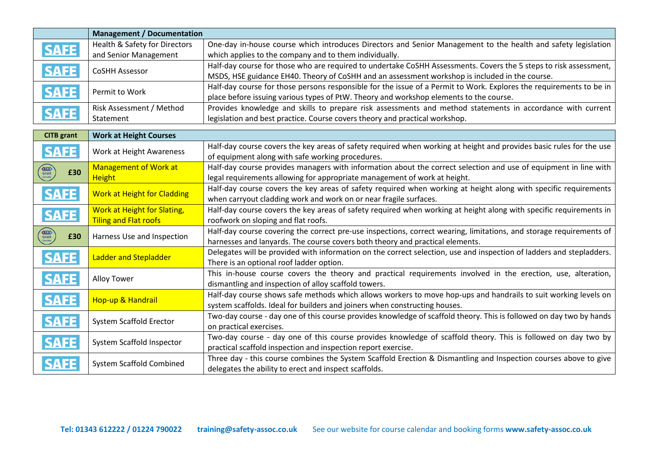|                      | <b>Management / Documentation</b>  |                                                                                                                      |  |
|----------------------|------------------------------------|----------------------------------------------------------------------------------------------------------------------|--|
| <b>SAFE</b>          | Health & Safety for Directors      | One-day in-house course which introduces Directors and Senior Management to the health and safety legislation        |  |
|                      | and Senior Management              | which applies to the company and to them individually.                                                               |  |
| <b>SAFE</b>          | <b>CoSHH Assessor</b>              | Half-day course for those who are required to undertake CoSHH Assessments. Covers the 5 steps to risk assessment,    |  |
|                      |                                    | MSDS, HSE guidance EH40. Theory of CoSHH and an assessment workshop is included in the course.                       |  |
| <b>SAFE</b>          | Permit to Work                     | Half-day course for those persons responsible for the issue of a Permit to Work. Explores the requirements to be in  |  |
|                      |                                    | place before issuing various types of PtW. Theory and workshop elements to the course.                               |  |
| <b>SAFE</b>          | Risk Assessment / Method           | Provides knowledge and skills to prepare risk assessments and method statements in accordance with current           |  |
|                      | Statement                          | legislation and best practice. Course covers theory and practical workshop.                                          |  |
| <b>CITB</b> grant    | <b>Work at Height Courses</b>      |                                                                                                                      |  |
|                      |                                    | Half-day course covers the key areas of safety required when working at height and provides basic rules for the use  |  |
| <b>SAFE</b>          | Work at Height Awareness           | of equipment along with safe working procedures.                                                                     |  |
| GIOD<br>Grant<br>£30 | <b>Management of Work at</b>       | Half-day course provides managers with information about the correct selection and use of equipment in line with     |  |
|                      | <b>Height</b>                      | legal requirements allowing for appropriate management of work at height.                                            |  |
| <b>SAFE</b>          | <b>Work at Height for Cladding</b> | Half-day course covers the key areas of safety required when working at height along with specific requirements      |  |
|                      |                                    | when carryout cladding work and work on or near fragile surfaces.                                                    |  |
| <b>SAFE</b>          | <b>Work at Height for Slating,</b> | Half-day course covers the key areas of safety required when working at height along with specific requirements in   |  |
|                      | <b>Tiling and Flat roofs</b>       | roofwork on sloping and flat roofs.                                                                                  |  |
| GRO<br>Grant<br>£30  | Harness Use and Inspection         | Half-day course covering the correct pre-use inspections, correct wearing, limitations, and storage requirements of  |  |
|                      |                                    | harnesses and lanyards. The course covers both theory and practical elements.                                        |  |
| <b>SAFE</b>          | <b>Ladder and Stepladder</b>       | Delegates will be provided with information on the correct selection, use and inspection of ladders and stepladders. |  |
|                      |                                    | There is an optional roof ladder option.                                                                             |  |
| <b>SAFE</b>          | <b>Alloy Tower</b>                 | This in-house course covers the theory and practical requirements involved in the erection, use, alteration,         |  |
|                      |                                    | dismantling and inspection of alloy scaffold towers.                                                                 |  |
| <b>SAFE</b>          | Hop-up & Handrail                  | Half-day course shows safe methods which allows workers to move hop-ups and handrails to suit working levels on      |  |
|                      |                                    | system scaffolds. Ideal for builders and joiners when constructing houses.                                           |  |
| <b>SAFE</b>          | <b>System Scaffold Erector</b>     | Two-day course - day one of this course provides knowledge of scaffold theory. This is followed on day two by hands  |  |
|                      |                                    | on practical exercises.                                                                                              |  |
| <b>SAFE</b>          | System Scaffold Inspector          | Two-day course - day one of this course provides knowledge of scaffold theory. This is followed on day two by        |  |
|                      |                                    | practical scaffold inspection and inspection report exercise.                                                        |  |
| <b>SAFE</b>          | <b>System Scaffold Combined</b>    | Three day - this course combines the System Scaffold Erection & Dismantling and Inspection courses above to give     |  |
|                      |                                    | delegates the ability to erect and inspect scaffolds.                                                                |  |